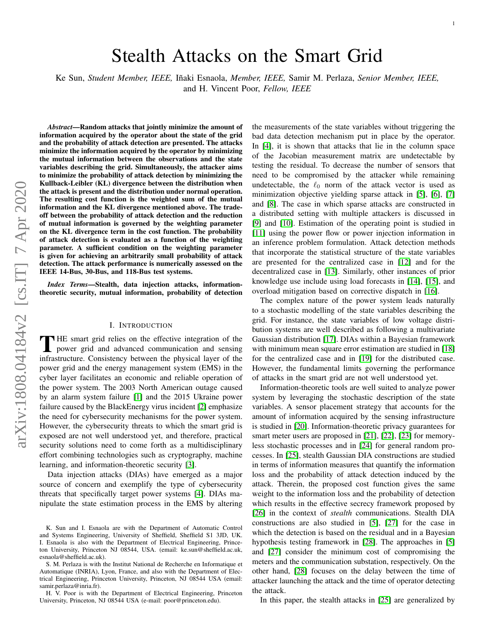# Stealth Attacks on the Smart Grid

Ke Sun, *Student Member, IEEE, Iñaki Esnaola, Member, IEEE, Samir M. Perlaza, Senior Member, IEEE,* 

and H. Vincent Poor, *Fellow, IEEE*

arXiv:1808.04184v2 [cs.IT] 7 Apr 2020 arXiv:1808.04184v2 [cs.IT] 7 Apr 2020

*Abstract*—Random attacks that jointly minimize the amount of information acquired by the operator about the state of the grid and the probability of attack detection are presented. The attacks minimize the information acquired by the operator by minimizing the mutual information between the observations and the state variables describing the grid. Simultaneously, the attacker aims to minimize the probability of attack detection by minimizing the Kullback-Leibler (KL) divergence between the distribution when the attack is present and the distribution under normal operation. The resulting cost function is the weighted sum of the mutual information and the KL divergence mentioned above. The tradeoff between the probability of attack detection and the reduction of mutual information is governed by the weighting parameter on the KL divergence term in the cost function. The probability of attack detection is evaluated as a function of the weighting parameter. A sufficient condition on the weighting parameter is given for achieving an arbitrarily small probability of attack detection. The attack performance is numerically assessed on the IEEE 14-Bus, 30-Bus, and 118-Bus test systems.

*Index Terms*—Stealth, data injection attacks, informationtheoretic security, mutual information, probability of detection

#### I. INTRODUCTION

THE smart grid relies on the effective integration of the power grid and advanced communication and sensing power grid and advanced communication and sensing infrastructure. Consistency between the physical layer of the power grid and the energy management system (EMS) in the cyber layer facilitates an economic and reliable operation of the power system. The 2003 North American outage caused by an alarm system failure [\[1\]](#page-8-0) and the 2015 Ukraine power failure caused by the BlackEnergy virus incident [\[2\]](#page-8-1) emphasize the need for cybersecurity mechanisms for the power system. However, the cybersecurity threats to which the smart grid is exposed are not well understood yet, and therefore, practical security solutions need to come forth as a multidisciplinary effort combining technologies such as cryptography, machine learning, and information-theoretic security [\[3\]](#page-8-2).

Data injection attacks (DIAs) have emerged as a major source of concern and exemplify the type of cybersecurity threats that specifically target power systems [\[4\]](#page-8-3). DIAs manipulate the state estimation process in the EMS by altering

H. V. Poor is with the Department of Electrical Engineering, Princeton University, Princeton, NJ 08544 USA (e-mail: poor@princeton.edu).

the measurements of the state variables without triggering the bad data detection mechanism put in place by the operator. In [\[4\]](#page-8-3), it is shown that attacks that lie in the column space of the Jacobian measurement matrix are undetectable by testing the residual. To decrease the number of sensors that need to be compromised by the attacker while remaining undetectable, the  $\ell_0$  norm of the attack vector is used as minimization objective yielding sparse attack in [\[5\]](#page-8-4), [\[6\]](#page-8-5), [\[7\]](#page-8-6) and [\[8\]](#page-8-7). The case in which sparse attacks are constructed in a distributed setting with multiple attackers is discussed in [\[9\]](#page-8-8) and [\[10\]](#page-8-9). Estimation of the operating point is studied in [\[11\]](#page-8-10) using the power flow or power injection information in an inference problem formulation. Attack detection methods that incorporate the statistical structure of the state variables are presented for the centralized case in [\[12\]](#page-8-11) and for the decentralized case in [\[13\]](#page-8-12). Similarly, other instances of prior knowledge use include using load forecasts in [\[14\]](#page-8-13), [\[15\]](#page-8-14), and overload mitigation based on corrective dispatch in [\[16\]](#page-8-15).

The complex nature of the power system leads naturally to a stochastic modelling of the state variables describing the grid. For instance, the state variables of low voltage distribution systems are well described as following a multivariate Gaussian distribution [\[17\]](#page-8-16). DIAs within a Bayesian framework with minimum mean square error estimation are studied in [\[18\]](#page-8-17) for the centralized case and in [\[19\]](#page-8-18) for the distributed case. However, the fundamental limits governing the performance of attacks in the smart grid are not well understood yet.

Information-theoretic tools are well suited to analyze power system by leveraging the stochastic description of the state variables. A sensor placement strategy that accounts for the amount of information acquired by the sensing infrastructure is studied in [\[20\]](#page-8-19). Information-theoretic privacy guarantees for smart meter users are proposed in [\[21\]](#page-8-20), [\[22\]](#page-8-21), [\[23\]](#page-8-22) for memoryless stochastic processes and in [\[24\]](#page-8-23) for general random processes. In [\[25\]](#page-8-24), stealth Gaussian DIA constructions are studied in terms of information measures that quantify the information loss and the probability of attack detection induced by the attack. Therein, the proposed cost function gives the same weight to the information loss and the probability of detection which results in the effective secrecy framework proposed by [\[26\]](#page-8-25) in the context of *stealth* communications. Stealth DIA constructions are also studied in [\[5\]](#page-8-4), [\[27\]](#page-8-26) for the case in which the detection is based on the residual and in a Bayesian hypothesis testing framework in [\[28\]](#page-8-27). The approaches in [\[5\]](#page-8-4) and [\[27\]](#page-8-26) consider the minimum cost of compromising the meters and the communication substation, respectively. On the other hand, [\[28\]](#page-8-27) focuses on the delay between the time of attacker launching the attack and the time of operator detecting the attack.

In this paper, the stealth attacks in [\[25\]](#page-8-24) are generalized by

K. Sun and I. Esnaola are with the Department of Automatic Control and Systems Engineering, University of Sheffield, Sheffield S1 3JD, UK. I. Esnaola is also with the Department of Electrical Engineering, Princeton University, Princeton NJ 08544, USA. (email: ke.sun@sheffield.ac.uk, esnaola@sheffield.ac.uk).

S. M. Perlaza is with the Institut National de Recherche en Informatique et Automatique (INRIA), Lyon, France, and also with the Department of Electrical Engineering, Princeton University, Princeton, NJ 08544 USA (email: samir.perlaza@inria.fr).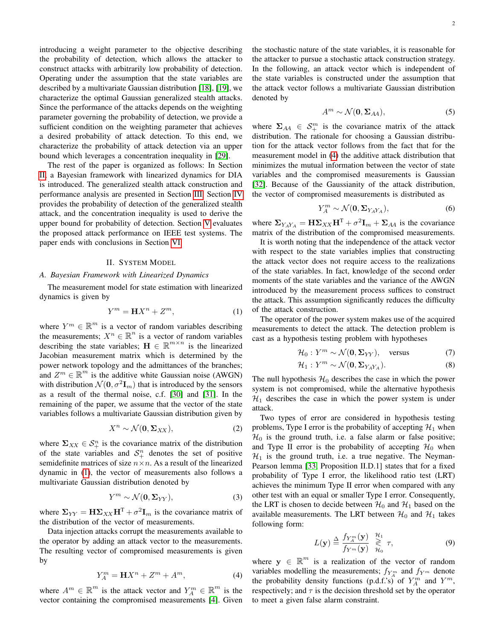introducing a weight parameter to the objective describing the probability of detection, which allows the attacker to construct attacks with arbitrarily low probability of detection. Operating under the assumption that the state variables are described by a multivariate Gaussian distribution [\[18\]](#page-8-17), [\[19\]](#page-8-18), we characterize the optimal Gaussian generalized stealth attacks. Since the performance of the attacks depends on the weighting parameter governing the probability of detection, we provide a sufficient condition on the weighting parameter that achieves a desired probability of attack detection. To this end, we characterize the probability of attack detection via an upper bound which leverages a concentration inequality in [\[29\]](#page-8-28).

The rest of the paper is organized as follows: In Section [II,](#page-1-0) a Bayesian framework with linearized dynamics for DIA is introduced. The generalized stealth attack construction and performance analysis are presented in Section [III.](#page-2-0) Section [IV](#page-3-0) provides the probability of detection of the generalized stealth attack, and the concentration inequality is used to derive the upper bound for probability of detection. Section [V](#page-5-0) evaluates the proposed attack performance on IEEE test systems. The paper ends with conclusions in Section [VI.](#page-8-29)

## II. SYSTEM MODEL

## <span id="page-1-0"></span>*A. Bayesian Framework with Linearized Dynamics*

The measurement model for state estimation with linearized dynamics is given by

$$
Y^m = \mathbf{H}X^n + Z^m,\tag{1}
$$

where  $Y^m \in \mathbb{R}^m$  is a vector of random variables describing the measurements;  $X^n \in \mathbb{R}^n$  is a vector of random variables describing the state variables;  $\mathbf{H} \in \mathbb{R}^{m \times n}$  is the linearized Jacobian measurement matrix which is determined by the power network topology and the admittances of the branches; and  $Z^m \in \mathbb{R}^m$  is the additive white Gaussian noise (AWGN) with distribution  $\mathcal{N}(\mathbf{0}, \sigma^2 \mathbf{I}_m)$  that is introduced by the sensors as a result of the thermal noise, c.f. [\[30\]](#page-8-30) and [\[31\]](#page-8-31). In the remaining of the paper, we assume that the vector of the state variables follows a multivariate Gaussian distribution given by

$$
X^n \sim \mathcal{N}(\mathbf{0}, \Sigma_{XX}),\tag{2}
$$

where  $\Sigma_{XX} \in S^n_+$  is the covariance matrix of the distribution of the state variables and  $S_{+}^{n}$  denotes the set of positive semidefinite matrices of size  $n \times n$ . As a result of the linearized dynamic in [\(1\)](#page-1-1), the vector of measurements also follows a multivariate Gaussian distribution denoted by

$$
Y^m \sim \mathcal{N}(\mathbf{0}, \Sigma_{YY}),\tag{3}
$$

where  $\Sigma_{YY} = \mathbf{H} \Sigma_{XX} \mathbf{H}^{\mathrm{T}} + \sigma^2 \mathbf{I}_m$  is the covariance matrix of the distribution of the vector of measurements.

Data injection attacks corrupt the measurements available to the operator by adding an attack vector to the measurements. The resulting vector of compromised measurements is given by

$$
Y_A^m = \mathbf{H}X^n + Z^m + A^m,\tag{4}
$$

where  $A^m \in \mathbb{R}^m$  is the attack vector and  $Y_A^m \in \mathbb{R}^m$  is the vector containing the compromised measurements [\[4\]](#page-8-3). Given the stochastic nature of the state variables, it is reasonable for the attacker to pursue a stochastic attack construction strategy. In the following, an attack vector which is independent of the state variables is constructed under the assumption that the attack vector follows a multivariate Gaussian distribution denoted by

$$
A^m \sim \mathcal{N}(\mathbf{0}, \Sigma_{AA}),\tag{5}
$$

where  $\Sigma_{AA} \in S^m_+$  is the covariance matrix of the attack distribution. The rationale for choosing a Gaussian distribution for the attack vector follows from the fact that for the measurement model in [\(4\)](#page-1-2) the additive attack distribution that minimizes the mutual information between the vector of state variables and the compromised measurements is Gaussian [\[32\]](#page-8-32). Because of the Gaussianity of the attack distribution, the vector of compromised measurements is distributed as

$$
Y_A^m \sim \mathcal{N}(\mathbf{0}, \Sigma_{YAY_A}),\tag{6}
$$

where  $\Sigma_{Y_A Y_A} = \mathbf{H} \Sigma_{XX} \mathbf{H}^{\mathrm{T}} + \sigma^2 \mathbf{I}_m + \Sigma_{AA}$  is the covariance matrix of the distribution of the compromised measurements.

It is worth noting that the independence of the attack vector with respect to the state variables implies that constructing the attack vector does not require access to the realizations of the state variables. In fact, knowledge of the second order moments of the state variables and the variance of the AWGN introduced by the measurement process suffices to construct the attack. This assumption significantly reduces the difficulty of the attack construction.

<span id="page-1-1"></span>The operator of the power system makes use of the acquired measurements to detect the attack. The detection problem is cast as a hypothesis testing problem with hypotheses

$$
\mathcal{H}_0: Y^m \sim \mathcal{N}(\mathbf{0}, \Sigma_{YY}), \quad \text{versus} \tag{7}
$$

$$
\mathcal{H}_1: Y^m \sim \mathcal{N}(\mathbf{0}, \mathbf{\Sigma}_{Y_A Y_A}).\tag{8}
$$

The null hypothesis  $\mathcal{H}_0$  describes the case in which the power system is not compromised, while the alternative hypothesis  $\mathcal{H}_1$  describes the case in which the power system is under attack.

Two types of error are considered in hypothesis testing problems, Type I error is the probability of accepting  $\mathcal{H}_1$  when  $\mathcal{H}_0$  is the ground truth, i.e. a false alarm or false positive; and Type II error is the probability of accepting  $\mathcal{H}_0$  when  $\mathcal{H}_1$  is the ground truth, i.e. a true negative. The Neyman-Pearson lemma [\[33,](#page-9-0) Proposition II.D.1] states that for a fixed probability of Type I error, the likelihood ratio test (LRT) achieves the minimum Type II error when compared with any other test with an equal or smaller Type I error. Consequently, the LRT is chosen to decide between  $\mathcal{H}_0$  and  $\mathcal{H}_1$  based on the available measurements. The LRT between  $\mathcal{H}_0$  and  $\mathcal{H}_1$  takes following form:

<span id="page-1-3"></span>
$$
L(\mathbf{y}) \stackrel{\Delta}{=} \frac{f_{Y_A^m}(\mathbf{y})}{f_{Y^m}(\mathbf{y})} \stackrel{\mathcal{H}_1}{\underset{\mathcal{H}_0}{\gtrless}} \tau,
$$
 (9)

<span id="page-1-2"></span>where  $y \in \mathbb{R}^m$  is a realization of the vector of random variables modelling the measurements;  $f_{Y_A^m}$  and  $f_{Y^m}$  denote the probability density functions (p.d.f.'s) of  $Y_A^m$  and  $Y^m$ , respectively; and  $\tau$  is the decision threshold set by the operator to meet a given false alarm constraint.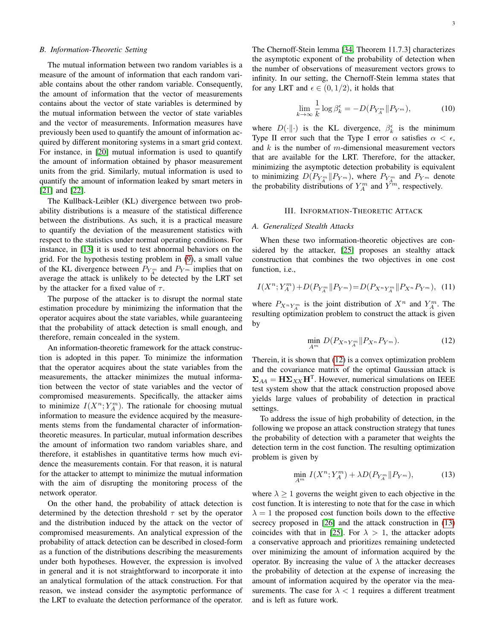## *B. Information-Theoretic Setting*

The mutual information between two random variables is a measure of the amount of information that each random variable contains about the other random variable. Consequently, the amount of information that the vector of measurements contains about the vector of state variables is determined by the mutual information between the vector of state variables and the vector of measurements. Information measures have previously been used to quantify the amount of information acquired by different monitoring systems in a smart grid context. For instance, in [\[20\]](#page-8-19) mutual information is used to quantify the amount of information obtained by phasor measurement units from the grid. Similarly, mutual information is used to quantify the amount of information leaked by smart meters in [\[21\]](#page-8-20) and [\[22\]](#page-8-21).

The Kullback-Leibler (KL) divergence between two probability distributions is a measure of the statistical difference between the distributions. As such, it is a practical measure to quantify the deviation of the measurement statistics with respect to the statistics under normal operating conditions. For instance, in [\[13\]](#page-8-12) it is used to test abnormal behaviors on the grid. For the hypothesis testing problem in [\(9\)](#page-1-3), a small value of the KL divergence between  $P_{Y_A^m}$  and  $P_{Y^m}$  implies that on average the attack is unlikely to be detected by the LRT set by the attacker for a fixed value of  $\tau$ .

The purpose of the attacker is to disrupt the normal state estimation procedure by minimizing the information that the operator acquires about the state variables, while guaranteeing that the probability of attack detection is small enough, and therefore, remain concealed in the system.

An information-theoretic framework for the attack construction is adopted in this paper. To minimize the information that the operator acquires about the state variables from the measurements, the attacker minimizes the mutual information between the vector of state variables and the vector of compromised measurements. Specifically, the attacker aims to minimize  $I(X^n; Y_A^m)$ . The rationale for choosing mutual information to measure the evidence acquired by the measurements stems from the fundamental character of informationtheoretic measures. In particular, mutual information describes the amount of information two random variables share, and therefore, it establishes in quantitative terms how much evidence the measurements contain. For that reason, it is natural for the attacker to attempt to minimize the mutual information with the aim of disrupting the monitoring process of the network operator.

On the other hand, the probability of attack detection is determined by the detection threshold  $\tau$  set by the operator and the distribution induced by the attack on the vector of compromised measurements. An analytical expression of the probability of attack detection can be described in closed-form as a function of the distributions describing the measurements under both hypotheses. However, the expression is involved in general and it is not straightforward to incorporate it into an analytical formulation of the attack construction. For that reason, we instead consider the asymptotic performance of the LRT to evaluate the detection performance of the operator. The Chernoff-Stein lemma [\[34,](#page-9-1) Theorem 11.7.3] characterizes the asymptotic exponent of the probability of detection when the number of observations of measurement vectors grows to infinity. In our setting, the Chernoff-Stein lemma states that for any LRT and  $\epsilon \in (0, 1/2)$ , it holds that

<span id="page-2-3"></span>
$$
\lim_{k \to \infty} \frac{1}{k} \log \beta_k^{\epsilon} = -D(P_{Y_A^m} \| P_{Y^m}),\tag{10}
$$

where  $D(\cdot||\cdot)$  is the KL divergence,  $\beta_k^{\epsilon}$  is the minimum Type II error such that the Type I error  $\alpha$  satisfies  $\alpha < \epsilon$ , and  $k$  is the number of m-dimensional measurement vectors that are available for the LRT. Therefore, for the attacker, minimizing the asymptotic detection probability is equivalent to minimizing  $D(P_{Y_A^m} \| P_{Y^m})$ , where  $P_{Y_A^m}$  and  $P_{Y^m}$  denote the probability distributions of  $Y_A^m$  and  $\hat{Y}^m$ , respectively.

#### III. INFORMATION-THEORETIC ATTACK

### <span id="page-2-0"></span>*A. Generalized Stealth Attacks*

When these two information-theoretic objectives are considered by the attacker, [\[25\]](#page-8-24) proposes an stealthy attack construction that combines the two objectives in one cost function, i.e.,

$$
I(X^{n}; Y_{A}^{m}) + D(P_{Y_{A}^{m}} \| P_{Y^{m}}) = D(P_{X^{n} Y_{A}^{m}} \| P_{X^{n}} P_{Y^{m}}), \quad (11)
$$

where  $P_{X^n Y_A^m}$  is the joint distribution of  $X^n$  and  $Y_A^m$ . The resulting optimization problem to construct the attack is given by

<span id="page-2-1"></span>
$$
\min_{A^m} D(P_{X^n Y_A^m} \| P_{X^n} P_{Y^m}).
$$
\n(12)

Therein, it is shown that [\(12\)](#page-2-1) is a convex optimization problem and the covariance matrix of the optimal Gaussian attack is  $\Sigma_{AA} = \mathbf{H} \Sigma_{XX} \mathbf{H}^{\text{T}}$ . However, numerical simulations on IEEE test system show that the attack construction proposed above yields large values of probability of detection in practical settings.

To address the issue of high probability of detection, in the following we propose an attack construction strategy that tunes the probability of detection with a parameter that weights the detection term in the cost function. The resulting optimization problem is given by

<span id="page-2-2"></span>
$$
\min_{A^m} I(X^n; Y_A^m) + \lambda D(P_{Y_A^m} || P_{Y^m}), \tag{13}
$$

where  $\lambda \geq 1$  governs the weight given to each objective in the cost function. It is interesting to note that for the case in which  $\lambda = 1$  the proposed cost function boils down to the effective secrecy proposed in [\[26\]](#page-8-25) and the attack construction in [\(13\)](#page-2-2) coincides with that in [\[25\]](#page-8-24). For  $\lambda > 1$ , the attacker adopts a conservative approach and prioritizes remaining undetected over minimizing the amount of information acquired by the operator. By increasing the value of  $\lambda$  the attacker decreases the probability of detection at the expense of increasing the amount of information acquired by the operator via the measurements. The case for  $\lambda < 1$  requires a different treatment and is left as future work.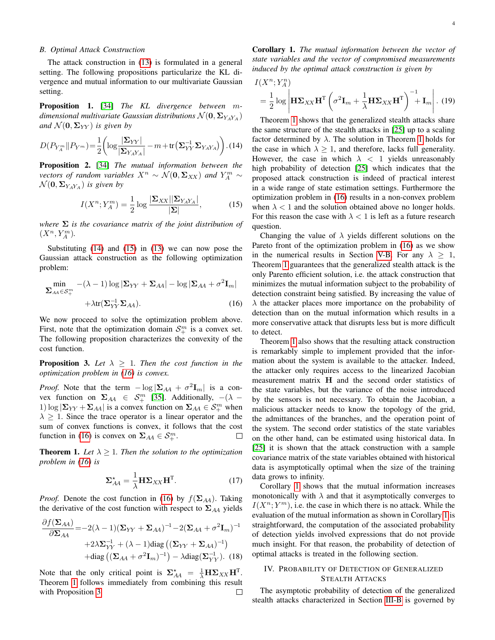## <span id="page-3-7"></span>*B. Optimal Attack Construction*

The attack construction in [\(13\)](#page-2-2) is formulated in a general setting. The following propositions particularize the KL divergence and mutual information to our multivariate Gaussian setting.

Proposition 1. [\[34\]](#page-9-1) *The KL divergence between* m*dimensional multivariate Gaussian distributions*  $\mathcal{N}(\mathbf{0}, \mathbf{\Sigma}_{YAY_A})$ *and*  $\mathcal{N}(\mathbf{0}, \Sigma_{YY})$  *is given by* 

$$
D(P_{Y_A^m} \| P_{Y^m}) = \frac{1}{2} \left( \log \frac{|\Sigma_{YY}|}{|\Sigma_{Y_A Y_A}|} - m + \text{tr} \left( \Sigma_{YY}^{-1} \Sigma_{Y_A Y_A} \right) \right). (14)
$$

Proposition 2. [\[34\]](#page-9-1) *The mutual information between the vectors of random variables*  $X^n \sim \mathcal{N}(\mathbf{0}, \mathbf{\Sigma}_{XX})$  *and*  $Y_A^m \sim$  $\mathcal{N}(\mathbf{0}, \mathbf{\Sigma}_{Y_A Y_A})$  *is given by* 

$$
I(X^n; Y_A^m) = \frac{1}{2} \log \frac{|\Sigma_{XX}| |\Sigma_{YAY_A}|}{|\Sigma|},\tag{15}
$$

*where*  $\Sigma$  *is the covariance matrix of the joint distribution of*  $(X^n, Y_A^m)$ .

Substituting [\(14\)](#page-3-1) and [\(15\)](#page-3-2) in [\(13\)](#page-2-2) we can now pose the Gaussian attack construction as the following optimization problem:

$$
\min_{\mathbf{\Sigma}_{AA} \in \mathcal{S}_{+}^{m}} \left. -(\lambda - 1) \log |\mathbf{\Sigma}_{YY} + \mathbf{\Sigma}_{AA}| - \log |\mathbf{\Sigma}_{AA} + \sigma^{2} \mathbf{I}_{m}| + \lambda \text{tr}(\mathbf{\Sigma}_{YY}^{-1} \mathbf{\Sigma}_{AA}). \right)
$$
\n(16)

We now proceed to solve the optimization problem above. First, note that the optimization domain  $S^m_+$  is a convex set. The following proposition characterizes the convexity of the cost function.

<span id="page-3-5"></span>**Proposition 3.** Let  $\lambda \geq 1$ . Then the cost function in the *optimization problem in [\(16\)](#page-3-3) is convex.*

*Proof.* Note that the term  $-\log |\Sigma_{AA} + \sigma^2 \mathbf{I}_m|$  is a convex function on  $\Sigma_{AA} \in S^m_+$  [\[35\]](#page-9-2). Additionally,  $-(\lambda -$ 1) log  $|\Sigma_{YY} + \Sigma_{AA}|$  is a convex function on  $\Sigma_{AA} \in S^m_+$  when  $\lambda \geq 1$ . Since the trace operator is a linear operator and the sum of convex functions is convex, it follows that the cost function in [\(16\)](#page-3-3) is convex on  $\Sigma_{AA} \in S^m_+$ . П

<span id="page-3-4"></span>**Theorem 1.** Let  $\lambda \geq 1$ . Then the solution to the optimization *problem in [\(16\)](#page-3-3) is*

<span id="page-3-8"></span>
$$
\Sigma_{AA}^{\star} = \frac{1}{\lambda} \mathbf{H} \Sigma_{XX} \mathbf{H}^{\mathrm{T}}.
$$
 (17)

*Proof.* Denote the cost function in [\(16\)](#page-3-3) by  $f(\Sigma_{AA})$ . Taking the derivative of the cost function with respect to  $\Sigma_{AA}$  yields

$$
\frac{\partial f(\Sigma_{AA})}{\partial \Sigma_{AA}} = -2(\lambda - 1)(\Sigma_{YY} + \Sigma_{AA})^{-1} - 2(\Sigma_{AA} + \sigma^2 \mathbf{I}_m)^{-1}
$$

$$
+ 2\lambda \Sigma_{YY}^{-1} + (\lambda - 1) \text{diag}((\Sigma_{YY} + \Sigma_{AA})^{-1})
$$

$$
+ \text{diag}((\Sigma_{AA} + \sigma^2 \mathbf{I}_m)^{-1}) - \lambda \text{diag}(\Sigma_{YY}^{-1}). \quad (18)
$$

Note that the only critical point is  $\Sigma_{AA}^* = \frac{1}{\lambda} H \Sigma_{XX} H^T$ . Theorem [1](#page-3-4) follows immediately from combining this result with Proposition [3.](#page-3-5)  $\Box$ 

<span id="page-3-6"></span>Corollary 1. *The mutual information between the vector of state variables and the vector of compromised measurements induced by the optimal attack construction is given by*

$$
I(X^{n}; Y_A^{n})
$$
  
=  $\frac{1}{2} \log \left| \mathbf{H} \Sigma_{XX} \mathbf{H}^{\mathrm{T}} \left( \sigma^2 \mathbf{I}_m + \frac{1}{\lambda} \mathbf{H} \Sigma_{XX} \mathbf{H}^{\mathrm{T}} \right)^{-1} + \mathbf{I}_m \right|$ . (19)

<span id="page-3-1"></span>Theorem [1](#page-3-4) shows that the generalized stealth attacks share the same structure of the stealth attacks in [\[25\]](#page-8-24) up to a scaling factor determined by  $\lambda$ . The solution in Theorem [1](#page-3-4) holds for the case in which  $\lambda > 1$ , and therefore, lacks full generality. However, the case in which  $\lambda$  < 1 yields unreasonably high probability of detection [\[25\]](#page-8-24) which indicates that the proposed attack construction is indeed of practical interest in a wide range of state estimation settings. Furthermore the optimization problem in [\(16\)](#page-3-3) results in a non-convex problem when  $\lambda$  < 1 and the solution obtained above no longer holds. For this reason the case with  $\lambda < 1$  is left as a future research question.

<span id="page-3-2"></span>Changing the value of  $\lambda$  yields different solutions on the Pareto front of the optimization problem in [\(16\)](#page-3-3) as we show in the numerical results in Section [V-B.](#page-7-0) For any  $\lambda \geq 1$ , Theorem [1](#page-3-4) guarantees that the generalized stealth attack is the only Parento efficient solution, i.e. the attack construction that minimizes the mutual information subject to the probability of detection constraint being satisfied. By increasing the value of  $\lambda$  the attacker places more importance on the probability of detection than on the mutual information which results in a more conservative attack that disrupts less but is more difficult to detect.

<span id="page-3-3"></span>Theorem [1](#page-3-4) also shows that the resulting attack construction is remarkably simple to implement provided that the information about the system is available to the attacker. Indeed, the attacker only requires access to the linearized Jacobian measurement matrix H and the second order statistics of the state variables, but the variance of the noise introduced by the sensors is not necessary. To obtain the Jacobian, a malicious attacker needs to know the topology of the grid, the admittances of the branches, and the operation point of the system. The second order statistics of the state variables on the other hand, can be estimated using historical data. In [\[25\]](#page-8-24) it is shown that the attack construction with a sample covariance matrix of the state variables obtained with historical data is asymptotically optimal when the size of the training data grows to infinity.

Corollary [1](#page-3-6) shows that the mutual information increases monotonically with  $\lambda$  and that it asymptotically converges to  $I(X^n; Y^m)$ , i.e. the case in which there is no attack. While the evaluation of the mutual information as shown in Corollary [1](#page-3-6) is straightforward, the computation of the associated probability of detection yields involved expressions that do not provide much insight. For that reason, the probability of detection of optimal attacks is treated in the following section.

## <span id="page-3-0"></span>IV. PROBABILITY OF DETECTION OF GENERALIZED STEALTH ATTACKS

The asymptotic probability of detection of the generalized stealth attacks characterized in Section [III-B](#page-3-7) is governed by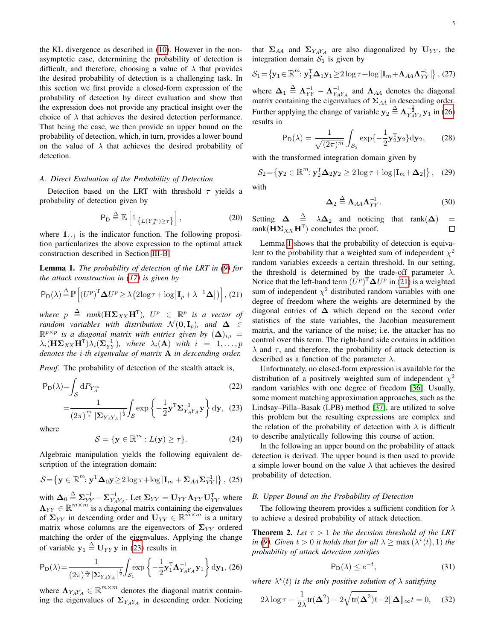the KL divergence as described in [\(10\)](#page-2-3). However in the nonasymptotic case, determining the probability of detection is difficult, and therefore, choosing a value of  $\lambda$  that provides the desired probability of detection is a challenging task. In this section we first provide a closed-form expression of the probability of detection by direct evaluation and show that the expression does not provide any practical insight over the choice of  $\lambda$  that achieves the desired detection performance. That being the case, we then provide an upper bound on the probability of detection, which, in turn, provides a lower bound on the value of  $\lambda$  that achieves the desired probability of detection.

## <span id="page-4-4"></span>*A. Direct Evaluation of the Probability of Detection*

Detection based on the LRT with threshold  $\tau$  yields a probability of detection given by

$$
\mathsf{P}_{\mathsf{D}} \stackrel{\Delta}{=} \mathbb{E}\left[\mathbb{1}_{\left\{L(Y_A^m) \geq \tau\right\}}\right],\tag{20}
$$

where  $\mathbb{1}_{\{.\}}$  is the indicator function. The following proposition particularizes the above expression to the optimal attack construction described in Section [III-B.](#page-3-7)

<span id="page-4-2"></span>Lemma 1. *The probability of detection of the LRT in [\(9\)](#page-1-3) for the attack construction in [\(17\)](#page-3-8) is given by*

$$
P_D(\lambda) \stackrel{\Delta}{=} \mathbb{P}\left[ (U^p)^T \Delta U^p \ge \lambda \left( 2\log \tau + \log \left| \mathbf{I}_p + \lambda^{-1} \mathbf{\Delta} \right| \right) \right], (21)
$$

 $where \begin{align*} p &\stackrel{\Delta}{=} \mathit{rank}(\mathbf{H}\boldsymbol{\Sigma}_{XX}\mathbf{H}^{\text{T}}), \ \ U^{p} &\in \ \ \mathbb{R}^{p} \ \ \textit{is a vector of} \end{align*}$ *random variables with distribution*  $\mathcal{N}(\mathbf{0}, \mathbf{I}_p)$ *, and*  $\Delta \in$  $\mathbb{R}^{p \times p}$  is a diagonal matrix with entries given by  $($  $\Delta$  $)_{i,i}$  =  $\lambda_i(\mathbf{H}\mathbf{\Sigma}_{XX}\mathbf{H}^{\mathrm{T}})\lambda_i(\mathbf{\Sigma}_{YY}^{-1}),$  where  $\lambda_i(\mathbf{A})$  with  $i = 1, \ldots, p$ *denotes the* i*-th eigenvalue of matrix* A *in descending order.*

*Proof.* The probability of detection of the stealth attack is,

$$
P_D(\lambda) = \int_{\mathcal{S}} dP_{Y_A^m} \tag{22}
$$

$$
= \frac{1}{(2\pi)^{\frac{m}{2}} \left| \Sigma_{Y_A Y_A} \right|^{\frac{1}{2}}} \int_{\mathcal{S}} \exp \left\{ -\frac{1}{2} \mathbf{y}^{\mathrm{T}} \Sigma_{Y_A Y_A}^{-1} \mathbf{y} \right\} d\mathbf{y}, \tag{23}
$$

where

$$
S = \{ \mathbf{y} \in \mathbb{R}^m : L(\mathbf{y}) \ge \tau \}. \tag{24}
$$

Algebraic manipulation yields the following equivalent description of the integration domain:

$$
\mathcal{S} = \left\{ \mathbf{y} \in \mathbb{R}^m : \mathbf{y}^{\mathrm{T}} \mathbf{\Delta}_0 \mathbf{y} \ge 2 \log \tau + \log |\mathbf{I}_m + \mathbf{\Sigma}_{AA} \mathbf{\Sigma}_{YY}^{-1}| \right\}, (25)
$$

with  $\mathbf{\Delta}_0 \stackrel{\Delta}{=} \sum_{YY}^{-1} - \sum_{Y_A Y_A}^{-1}$ . Let  $\Sigma_{YY} = \mathbf{U}_{YY} \mathbf{\Lambda}_{YY} \mathbf{U}_{YY}^{\mathsf{T}}$  where  $\Lambda_{YY} \in \mathbb{R}^{m \times m}$  is a diagonal matrix containing the eigenvalues of  $\Sigma_{YY}$  in descending order and  $U_{YY} \in \mathbb{R}^{m \times m}$  is a unitary matrix whose columns are the eigenvectors of  $\Sigma_{YY}$  ordered matching the order of the eigenvalues. Applying the change of variable  $y_1 \stackrel{\Delta}{=} U_{YY}y$  in [\(23\)](#page-4-0) results in

$$
P_D(\lambda) = \frac{1}{(2\pi)^{\frac{m}{2}} |\Sigma_{Y_A Y_A}|^{\frac{1}{2}}} \int_{\mathcal{S}_1} exp \left\{-\frac{1}{2} \mathbf{y}_1^{\mathrm{T}} \boldsymbol{\Lambda}_{Y_A Y_A}^{-1} \mathbf{y}_1 \right\} d\mathbf{y}_1, (26)
$$

where  $\Lambda_{YAY_A} \in \mathbb{R}^{m \times m}$  denotes the diagonal matrix containing the eigenvalues of  $\Sigma_{Y_A Y_A}$  in descending order. Noticing

that  $\Sigma_{AA}$  and  $\Sigma_{YAYA}$  are also diagonalized by  $U_{YY}$ , the integration domain  $S_1$  is given by

$$
S_1 = \{ \mathbf{y}_1 \in \mathbb{R}^m : \mathbf{y}_1^T \mathbf{\Delta}_1 \mathbf{y}_1 \ge 2 \log \tau + \log |\mathbf{I}_m + \mathbf{\Lambda}_{AA} \mathbf{\Lambda}_{YY}^{-1}| \}, (27)
$$

where  $\Delta_1 \triangleq \Lambda_{YY}^{-1} - \Lambda_{Y_A Y_A}^{-1}$  and  $\Lambda_{AA}$  denotes the diagonal matrix containing the eigenvalues of  $\Sigma_{AA}$  in descending order. Further applying the change of variable  $y_2 \triangleq \Lambda_{Y_A Y_A}^{-\frac{1}{2}} y_1$  in [\(26\)](#page-4-1) results in

$$
P_D(\lambda) = \frac{1}{\sqrt{(2\pi)^m}} \int_{\mathcal{S}_2} \exp\{-\frac{1}{2} \mathbf{y}_2^T \mathbf{y}_2\} d\mathbf{y}_2, \qquad (28)
$$

with the transformed integration domain given by

$$
\mathcal{S}_2 = \left\{ \mathbf{y}_2 \in \mathbb{R}^m : \mathbf{y}_2^{\mathrm{T}} \mathbf{\Delta}_2 \mathbf{y}_2 \ge 2 \log \tau + \log |\mathbf{I}_m + \mathbf{\Delta}_2| \right\}, \quad (29)
$$

with

$$
\Delta_2 \stackrel{\Delta}{=} \Lambda_{AA} \Lambda_{YY}^{-1}.
$$
 (30)

Setting  $\Delta \stackrel{\Delta}{=} \lambda \Delta_2$  and noticing that rank $(\Delta)$  = rank $(\mathbf{H}\mathbf{\Sigma}_{XX}\mathbf{H}^{\mathrm{T}})$  concludes the proof.  $\Box$ 

<span id="page-4-3"></span>Lemma [1](#page-4-2) shows that the probability of detection is equivalent to the probability that a weighted sum of independent  $\chi^2$ random variables exceeds a certain threshold. In our setting, the threshold is determined by the trade-off parameter  $\lambda$ . Notice that the left-hand term  $(U^p)^T \Delta U^p$  in [\(21\)](#page-4-3) is a weighted sum of independent  $\chi^2$  distributed random variables with one degree of freedom where the weights are determined by the diagonal entries of  $\Delta$  which depend on the second order statistics of the state variables, the Jacobian measurement matrix, and the variance of the noise; i.e. the attacker has no control over this term. The right-hand side contains in addition  $\lambda$  and  $\tau$ , and therefore, the probability of attack detection is described as a function of the parameter  $\lambda$ .

<span id="page-4-0"></span>Unfortunately, no closed-form expression is available for the distribution of a positively weighted sum of independent  $\chi^2$ random variables with one degree of freedom [\[36\]](#page-9-3). Usually, some moment matching approximation approaches, such as the Lindsay–Pilla–Basak (LPB) method [\[37\]](#page-9-4), are utilized to solve this problem but the resulting expressions are complex and the relation of the probability of detection with  $\lambda$  is difficult to describe analytically following this course of action.

In the following an upper bound on the probability of attack detection is derived. The upper bound is then used to provide a simple lower bound on the value  $\lambda$  that achieves the desired probability of detection.

## *B. Upper Bound on the Probability of Detection*

The following theorem provides a sufficient condition for  $\lambda$ to achieve a desired probability of attack detection.

<span id="page-4-5"></span>**Theorem 2.** Let  $\tau > 1$  be the decision threshold of the LRT *in [\(9\)](#page-1-3). Given*  $t > 0$  *it holds that for all*  $\lambda \geq \max(\lambda^*(t), 1)$  *the probability of attack detection satisfies*

$$
\mathsf{P}_{\mathsf{D}}(\lambda) \le e^{-t},\tag{31}
$$

<span id="page-4-1"></span>where  $\lambda^*(t)$  *is the only positive solution of*  $\lambda$  *satisfying* 

$$
2\lambda \log \tau - \frac{1}{2\lambda} \text{tr}(\mathbf{\Delta}^2) - 2\sqrt{\text{tr}(\mathbf{\Delta}^2)t} - 2\|\mathbf{\Delta}\|_{\infty} t = 0, \quad (32)
$$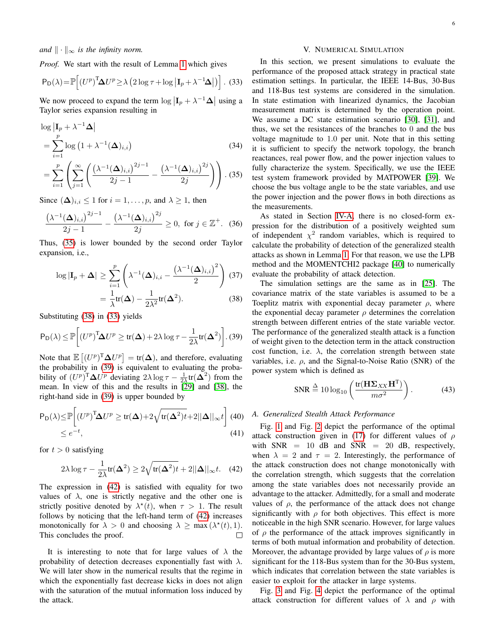*Proof.* We start with the result of Lemma [1](#page-4-2) which gives

$$
P_D(\lambda) = \mathbb{P}\Big[ (U^p)^T \Delta U^p \ge \lambda \left( 2 \log \tau + \log \left| I_p + \lambda^{-1} \Delta \right| \right) \Big]. \tag{33}
$$

We now proceed to expand the term  $\log |\mathbf{I}_p + \lambda^{-1} \mathbf{\Delta}|$  using a Taylor series expansion resulting in

$$
\log |\mathbf{I}_p + \lambda^{-1} \mathbf{\Delta}|
$$
\n
$$
= \sum_{i=1}^p \log (1 + \lambda^{-1} (\mathbf{\Delta})_{i,i})
$$
\n
$$
= \sum_{i=1}^p \left( \sum_{j=1}^\infty \left( \frac{(\lambda^{-1} (\mathbf{\Delta})_{i,i})^{2j-1}}{2j-1} - \frac{(\lambda^{-1} (\mathbf{\Delta})_{i,i})^{2j}}{2j} \right) \right).
$$
\n(35)

Since  $(\Delta)_{i,i} \leq 1$  for  $i = 1, \ldots, p$ , and  $\lambda \geq 1$ , then

$$
\frac{\left(\lambda^{-1}(\mathbf{\Delta})_{i,i}\right)^{2j-1}}{2j-1} - \frac{\left(\lambda^{-1}(\mathbf{\Delta})_{i,i}\right)^{2j}}{2j} \ge 0, \text{ for } j \in \mathbb{Z}^+. \tag{36}
$$

Thus, [\(35\)](#page-5-1) is lower bounded by the second order Taylor expansion, i.e.,

$$
\log|\mathbf{I}_p + \mathbf{\Delta}| \ge \sum_{i=1}^p \left( \lambda^{-1} (\mathbf{\Delta})_{i,i} - \frac{(\lambda^{-1} (\mathbf{\Delta})_{i,i})^2}{2} \right) (37)
$$

$$
= \frac{1}{\lambda} \text{tr}(\mathbf{\Delta}) - \frac{1}{2\lambda^2} \text{tr}(\mathbf{\Delta}^2). \tag{38}
$$

Substituting [\(38\)](#page-5-2) in [\(33\)](#page-5-3) yields

$$
\mathsf{P}_{\mathsf{D}}(\lambda) \le \mathbb{P}\bigg[ (U^p)^{\mathsf{T}} \mathbf{\Delta} U^p \ge \text{tr}(\mathbf{\Delta}) + 2\lambda \log \tau - \frac{1}{2\lambda} \text{tr}(\mathbf{\Delta}^2) \bigg].
$$
 (39)

Note that  $\mathbb{E}[(U^p)^T \Delta U^p] = \text{tr}(\Delta)$ , and therefore, evaluating the probability in [\(39\)](#page-5-4) is equivalent to evaluating the probability of  $(U^p)^T \Delta U^p$  deviating  $2\lambda \log \tau - \frac{1}{2\lambda} \text{tr}(\Delta^2)$  from the mean. In view of this and the results in [\[29\]](#page-8-28) and [\[38\]](#page-9-5), the right-hand side in [\(39\)](#page-5-4) is upper bounded by

$$
P_D(\lambda) \le P \left[ (U^p)^T \Delta U^p \ge \text{tr}(\Delta) + 2\sqrt{\text{tr}(\Delta^2)t} + 2||\Delta||_{\infty}t \right] (40)
$$
  
 
$$
\le e^{-t}, \qquad (41)
$$

for  $t > 0$  satisfying

$$
2\lambda \log \tau - \frac{1}{2\lambda} \text{tr}(\mathbf{\Delta}^2) \ge 2\sqrt{\text{tr}(\mathbf{\Delta}^2)t} + 2||\mathbf{\Delta}||_{\infty}t. \quad (42)
$$

The expression in [\(42\)](#page-5-5) is satisfied with equality for two values of  $\lambda$ , one is strictly negative and the other one is strictly positive denoted by  $\lambda^*(t)$ , when  $\tau > 1$ . The result follows by noticing that the left-hand term of [\(42\)](#page-5-5) increases monotonically for  $\lambda > 0$  and choosing  $\lambda \ge \max(\lambda^*(t), 1)$ . This concludes the proof.  $\Box$ 

It is interesting to note that for large values of  $\lambda$  the probability of detection decreases exponentially fast with  $\lambda$ . We will later show in the numerical results that the regime in which the exponentially fast decrease kicks in does not align with the saturation of the mutual information loss induced by the attack.

## V. NUMERICAL SIMULATION

<span id="page-5-3"></span><span id="page-5-0"></span>In this section, we present simulations to evaluate the performance of the proposed attack strategy in practical state estimation settings. In particular, the IEEE 14-Bus, 30-Bus and 118-Bus test systems are considered in the simulation. In state estimation with linearized dynamics, the Jacobian measurement matrix is determined by the operation point. We assume a DC state estimation scenario [\[30\]](#page-8-30), [\[31\]](#page-8-31), and thus, we set the resistances of the branches to 0 and the bus voltage magnitude to 1.0 per unit. Note that in this setting it is sufficient to specify the network topology, the branch reactances, real power flow, and the power injection values to fully characterize the system. Specifically, we use the IEEE test system framework provided by MATPOWER [\[39\]](#page-9-6). We choose the bus voltage angle to be the state variables, and use the power injection and the power flows in both directions as the measurements.

<span id="page-5-1"></span>As stated in Section [IV-A,](#page-4-4) there is no closed-form expression for the distribution of a positively weighted sum of independent  $\chi^2$  random variables, which is required to calculate the probability of detection of the generalized stealth attacks as shown in Lemma [1.](#page-4-2) For that reason, we use the LPB method and the MOMENTCHI2 package [\[40\]](#page-9-7) to numerically evaluate the probability of attack detection.

<span id="page-5-4"></span><span id="page-5-2"></span>The simulation settings are the same as in [\[25\]](#page-8-24). The covariance matrix of the state variables is assumed to be a Toeplitz matrix with exponential decay parameter  $\rho$ , where the exponential decay parameter  $\rho$  determines the correlation strength between different entries of the state variable vector. The performance of the generalized stealth attack is a function of weight given to the detection term in the attack construction cost function, i.e.  $\lambda$ , the correlation strength between state variables, i.e.  $\rho$ , and the Signal-to-Noise Ratio (SNR) of the power system which is defined as

$$
SNR \stackrel{\Delta}{=} 10 \log_{10} \left( \frac{\text{tr}(\mathbf{H} \mathbf{\Sigma}_{XX} \mathbf{H}^{\text{T}})}{m \sigma^2} \right). \tag{43}
$$

#### *A. Generalized Stealth Attack Performance*

<span id="page-5-5"></span>Fig. [1](#page-6-0) and Fig. [2](#page-6-1) depict the performance of the optimal attack construction given in [\(17\)](#page-3-8) for different values of  $\rho$ with  $SNR = 10$  dB and  $SNR = 20$  dB, respectively, when  $\lambda = 2$  and  $\tau = 2$ . Interestingly, the performance of the attack construction does not change monotonically with the correlation strength, which suggests that the correlation among the state variables does not necessarily provide an advantage to the attacker. Admittedly, for a small and moderate values of  $\rho$ , the performance of the attack does not change significantly with  $\rho$  for both objectives. This effect is more noticeable in the high SNR scenario. However, for large values of  $\rho$  the performance of the attack improves significantly in terms of both mutual information and probability of detection. Moreover, the advantage provided by large values of  $\rho$  is more significant for the 118-Bus system than for the 30-Bus system, which indicates that correlation between the state variables is easier to exploit for the attacker in large systems.

Fig. [3](#page-6-2) and Fig. [4](#page-6-3) depict the performance of the optimal attack construction for different values of  $\lambda$  and  $\rho$  with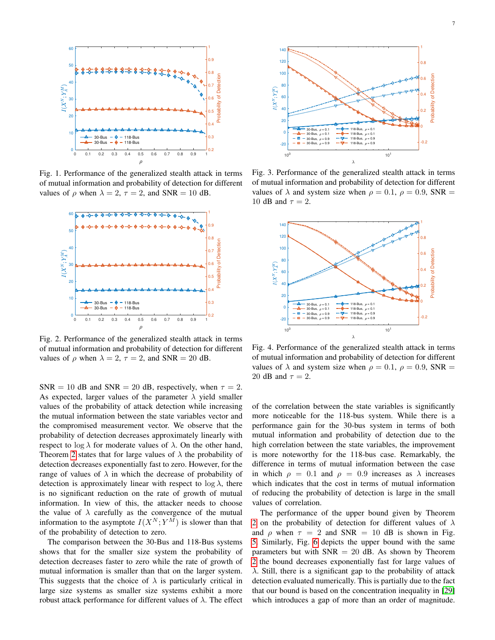<span id="page-6-0"></span>

Fig. 1. Performance of the generalized stealth attack in terms of mutual information and probability of detection for different values of  $\rho$  when  $\lambda = 2$ ,  $\tau = 2$ , and SNR = 10 dB.

<span id="page-6-1"></span>

Fig. 2. Performance of the generalized stealth attack in terms of mutual information and probability of detection for different values of  $\rho$  when  $\lambda = 2$ ,  $\tau = 2$ , and SNR = 20 dB.

SNR = 10 dB and SNR = 20 dB, respectively, when  $\tau = 2$ . As expected, larger values of the parameter  $\lambda$  yield smaller values of the probability of attack detection while increasing the mutual information between the state variables vector and the compromised measurement vector. We observe that the probability of detection decreases approximately linearly with respect to  $\log \lambda$  for moderate values of  $\lambda$ . On the other hand, Theorem [2](#page-4-5) states that for large values of  $\lambda$  the probability of detection decreases exponentially fast to zero. However, for the range of values of  $\lambda$  in which the decrease of probability of detection is approximately linear with respect to  $\log \lambda$ , there is no significant reduction on the rate of growth of mutual information. In view of this, the attacker needs to choose the value of  $\lambda$  carefully as the convergence of the mutual information to the asymptote  $I(X^N; Y^M)$  is slower than that of the probability of detection to zero.

The comparison between the 30-Bus and 118-Bus systems shows that for the smaller size system the probability of detection decreases faster to zero while the rate of growth of mutual information is smaller than that on the larger system. This suggests that the choice of  $\lambda$  is particularly critical in large size systems as smaller size systems exhibit a more robust attack performance for different values of  $\lambda$ . The effect

<span id="page-6-2"></span>

Fig. 3. Performance of the generalized stealth attack in terms of mutual information and probability of detection for different values of  $\lambda$  and system size when  $\rho = 0.1$ ,  $\rho = 0.9$ , SNR = 10 dB and  $\tau = 2$ .

<span id="page-6-3"></span>

Fig. 4. Performance of the generalized stealth attack in terms of mutual information and probability of detection for different values of  $\lambda$  and system size when  $\rho = 0.1$ ,  $\rho = 0.9$ , SNR = 20 dB and  $\tau = 2$ .

of the correlation between the state variables is significantly more noticeable for the 118-bus system. While there is a performance gain for the 30-bus system in terms of both mutual information and probability of detection due to the high correlation between the state variables, the improvement is more noteworthy for the 118-bus case. Remarkably, the difference in terms of mutual information between the case in which  $\rho = 0.1$  and  $\rho = 0.9$  increases as  $\lambda$  increases which indicates that the cost in terms of mutual information of reducing the probability of detection is large in the small values of correlation.

The performance of the upper bound given by Theorem [2](#page-4-5) on the probability of detection for different values of  $\lambda$ and  $\rho$  when  $\tau = 2$  and SNR = 10 dB is shown in Fig. [5.](#page-7-1) Similarly, Fig. [6](#page-7-2) depicts the upper bound with the same parameters but with  $SNR = 20$  dB. As shown by Theorem [2](#page-4-5) the bound decreases exponentially fast for large values of  $\lambda$ . Still, there is a significant gap to the probability of attack detection evaluated numerically. This is partially due to the fact that our bound is based on the concentration inequality in [\[29\]](#page-8-28) which introduces a gap of more than an order of magnitude.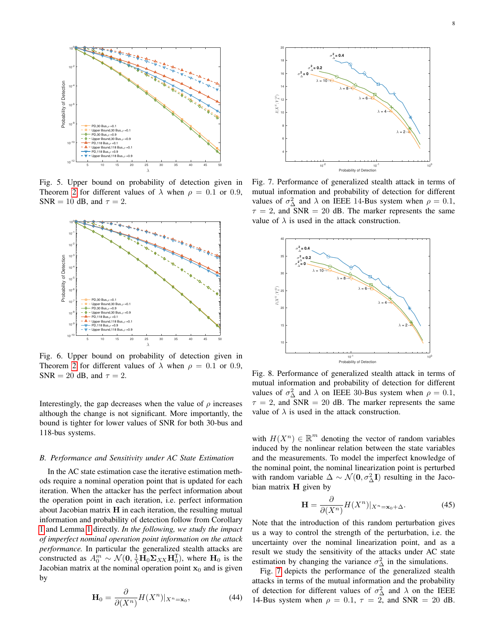<span id="page-7-1"></span>

Fig. 5. Upper bound on probability of detection given in Theorem [2](#page-4-5) for different values of  $\lambda$  when  $\rho = 0.1$  or 0.9, SNR = 10 dB, and  $\tau = 2$ .

<span id="page-7-2"></span>

Fig. 6. Upper bound on probability of detection given in Theorem [2](#page-4-5) for different values of  $\lambda$  when  $\rho = 0.1$  or 0.9, SNR = 20 dB, and  $\tau = 2$ .

Interestingly, the gap decreases when the value of  $\rho$  increases although the change is not significant. More importantly, the bound is tighter for lower values of SNR for both 30-bus and 118-bus systems.

## <span id="page-7-0"></span>*B. Performance and Sensitivity under AC State Estimation*

In the AC state estimation case the iterative estimation methods require a nominal operation point that is updated for each iteration. When the attacker has the perfect information about the operation point in each iteration, i.e. perfect information about Jacobian matrix H in each iteration, the resulting mutual information and probability of detection follow from Corollary [1](#page-3-6) and Lemma [1](#page-4-2) directly. *In the following, we study the impact of imperfect nominal operation point information on the attack performance.* In particular the generalized stealth attacks are constructed as  $A_0^m \sim \mathcal{N}(\mathbf{0}, \frac{1}{\lambda} \mathbf{H}_0 \mathbf{\Sigma}_{XX} \mathbf{H}_0^{\mathrm{T}})$ , where  $\mathbf{H}_0$  is the Jacobian matrix at the nominal operation point  $x_0$  and is given by

$$
\mathbf{H}_0 = \frac{\partial}{\partial (X^n)} H(X^n) |_{X^n = \mathbf{x}_0},\tag{44}
$$

<span id="page-7-3"></span>

Fig. 7. Performance of generalized stealth attack in terms of mutual information and probability of detection for different values of  $\sigma_{\Delta}^2$  and  $\lambda$  on IEEE 14-Bus system when  $\rho = 0.1$ ,  $\tau = 2$ , and SNR = 20 dB. The marker represents the same value of  $\lambda$  is used in the attack construction.

<span id="page-7-4"></span>

Fig. 8. Performance of generalized stealth attack in terms of mutual information and probability of detection for different values of  $\sigma_{\Delta}^2$  and  $\lambda$  on IEEE 30-Bus system when  $\rho = 0.1$ ,  $\tau = 2$ , and SNR = 20 dB. The marker represents the same value of  $\lambda$  is used in the attack construction.

with  $H(X^n) \in \mathbb{R}^m$  denoting the vector of random variables induced by the nonlinear relation between the state variables and the measurements. To model the imperfect knowledge of the nominal point, the nominal linearization point is perturbed with random variable  $\Delta \sim \mathcal{N}(\mathbf{0}, \sigma_{\Delta}^2 \mathbf{I})$  resulting in the Jacobian matrix H given by

$$
\mathbf{H} = \frac{\partial}{\partial (X^n)} H(X^n)|_{X^n = \mathbf{x}_0 + \Delta}.\tag{45}
$$

Note that the introduction of this random perturbation gives us a way to control the strength of the perturbation, i.e. the uncertainty over the nominal linearization point, and as a result we study the sensitivity of the attacks under AC state estimation by changing the variance  $\sigma_{\Delta}^2$  in the simulations.

Fig. [7](#page-7-3) depicts the performance of the generalized stealth attacks in terms of the mutual information and the probability of detection for different values of  $\sigma_{\Delta}^2$  and  $\lambda$  on the IEEE 14-Bus system when  $\rho = 0.1$ ,  $\tau = 2$ , and SNR = 20 dB.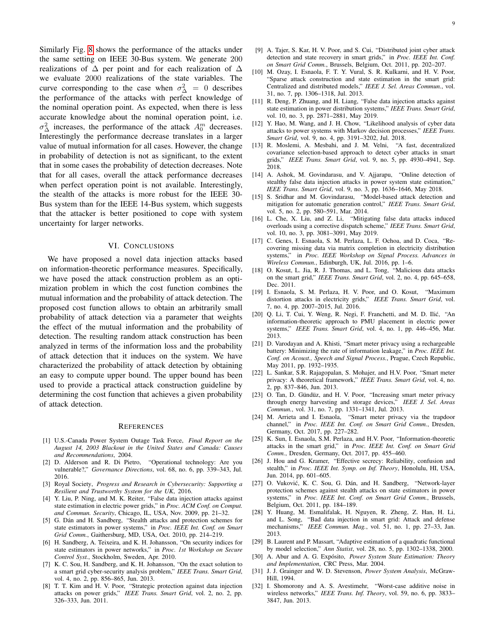Similarly Fig. [8](#page-7-4) shows the performance of the attacks under the same setting on IEEE 30-Bus system. We generate 200 realizations of  $\Delta$  per point and for each realization of  $\Delta$ we evaluate 2000 realizations of the state variables. The curve corresponding to the case when  $\sigma_{\Delta}^2 = 0$  describes the performance of the attacks with perfect knowledge of the nominal operation point. As expected, when there is less accurate knowledge about the nominal operation point, i.e.  $\sigma_{\Delta}^2$  increases, the performance of the attack  $A_0^m$  decreases. Interestingly the performance decrease translates in a larger value of mutual information for all cases. However, the change in probability of detection is not as significant, to the extent that in some cases the probability of detection decreases. Note that for all cases, overall the attack performance decreases when perfect operation point is not available. Interestingly, the stealth of the attacks is more robust for the IEEE 30- Bus system than for the IEEE 14-Bus system, which suggests that the attacker is better positioned to cope with system uncertainty for larger networks.

#### VI. CONCLUSIONS

<span id="page-8-29"></span>We have proposed a novel data injection attacks based on information-theoretic performance measures. Specifically, we have posed the attack construction problem as an optimization problem in which the cost function combines the mutual information and the probability of attack detection. The proposed cost function allows to obtain an arbitrarily small probability of attack detection via a parameter that weights the effect of the mutual information and the probability of detection. The resulting random attack construction has been analyzed in terms of the information loss and the probability of attack detection that it induces on the system. We have characterized the probability of attack detection by obtaining an easy to compute upper bound. The upper bound has been used to provide a practical attack construction guideline by determining the cost function that achieves a given probability of attack detection.

#### **REFERENCES**

- <span id="page-8-0"></span>[1] U.S.-Canada Power System Outage Task Force, *Final Report on the August 14, 2003 Blackout in the United States and Canada: Causes and Recommendations*, 2004.
- <span id="page-8-1"></span>[2] D. Alderson and R. Di Pietro, "Operational technology: Are you vulnerable?," *Governance Directions*, vol. 68, no. 6, pp. 339–343, Jul. 2016.
- <span id="page-8-2"></span>[3] Royal Society, *Progress and Research in Cybersecurity: Supporting a Resilient and Trustworthy System for the UK*, 2016.
- <span id="page-8-3"></span>[4] Y. Liu, P. Ning, and M. K. Reiter, "False data injection attacks against state estimation in electric power grids," in *Proc. ACM Conf. on Comput. and Commun. Security*, Chicago, IL, USA, Nov. 2009, pp. 21–32.
- <span id="page-8-4"></span>[5] G. Dán and H. Sandberg, "Stealth attacks and protection schemes for state estimators in power systems," in *Proc. IEEE Int. Conf. on Smart Grid Comm.*, Gaithersburg, MD, USA, Oct. 2010, pp. 214–219.
- <span id="page-8-5"></span>[6] H. Sandberg, A. Teixeira, and K. H. Johansson, "On security indices for state estimators in power networks," in *Proc. 1st Workshop on Secure Control Syst.*, Stockholm, Sweden, Apr. 2010.
- <span id="page-8-6"></span>[7] K. C. Sou, H. Sandberg, and K. H. Johansson, "On the exact solution to a smart grid cyber-security analysis problem," *IEEE Trans. Smart Grid*, vol. 4, no. 2, pp. 856–865, Jun. 2013.
- <span id="page-8-7"></span>[8] T. T. Kim and H. V. Poor, "Strategic protection against data injection attacks on power grids," *IEEE Trans. Smart Grid*, vol. 2, no. 2, pp. 326–333, Jun. 2011.
- <span id="page-8-8"></span>[9] A. Tajer, S. Kar, H. V. Poor, and S. Cui, "Distributed joint cyber attack detection and state recovery in smart grids," in *Proc. IEEE Int. Conf. on Smart Grid Comm.*, Brussels, Belgium, Oct. 2011, pp. 202–207.
- <span id="page-8-9"></span>[10] M. Ozay, I. Esnaola, F. T. Y. Vural, S. R. Kulkarni, and H. V. Poor, "Sparse attack construction and state estimation in the smart grid: Centralized and distributed models," *IEEE J. Sel. Areas Commun.*, vol. 31, no. 7, pp. 1306–1318, Jul. 2013.
- <span id="page-8-10"></span>[11] R. Deng, P. Zhuang, and H. Liang, "False data injection attacks against state estimation in power distribution systems," *IEEE Trans. Smart Grid*, vol. 10, no. 3, pp. 2871–2881, May 2019.
- <span id="page-8-11"></span>[12] Y. Hao, M. Wang, and J. H. Chow, "Likelihood analysis of cyber data attacks to power systems with Markov decision processes," *IEEE Trans. Smart Grid*, vol. 9, no. 4, pp. 3191–3202, Jul. 2018.
- <span id="page-8-12"></span>[13] R. Moslemi, A. Mesbahi, and J. M. Velni, "A fast, decentralized covariance selection-based approach to detect cyber attacks in smart grids," *IEEE Trans. Smart Grid*, vol. 9, no. 5, pp. 4930–4941, Sep. 2018.
- <span id="page-8-13"></span>[14] A. Ashok, M. Govindarasu, and V. Ajjarapu, "Online detection of stealthy false data injection attacks in power system state estimation," *IEEE Trans. Smart Grid*, vol. 9, no. 3, pp. 1636–1646, May 2018.
- <span id="page-8-14"></span>[15] S. Sridhar and M. Govindarasu, "Model-based attack detection and mitigation for automatic generation control," *IEEE Trans. Smart Grid*, vol. 5, no. 2, pp. 580–591, Mar. 2014.
- <span id="page-8-15"></span>[16] L. Che, X. Liu, and Z. Li, "Mitigating false data attacks induced overloads using a corrective dispatch scheme," *IEEE Trans. Smart Grid*, vol. 10, no. 3, pp. 3081–3091, May 2019.
- <span id="page-8-16"></span>[17] C. Genes, I. Esnaola, S. M. Perlaza, L. F. Ochoa, and D. Coca, "Recovering missing data via matrix completion in electricity distribution systems," in *Proc. IEEE Workshop on Signal Process. Advances in Wireless Commun.*, Edinburgh, UK, Jul. 2016, pp. 1–6.
- <span id="page-8-17"></span>[18] O. Kosut, L. Jia, R. J. Thomas, and L. Tong, "Malicious data attacks on the smart grid," *IEEE Trans. Smart Grid*, vol. 2, no. 4, pp. 645–658, Dec. 2011.
- <span id="page-8-18"></span>[19] I. Esnaola, S. M. Perlaza, H. V. Poor, and O. Kosut, "Maximum distortion attacks in electricity grids," *IEEE Trans. Smart Grid*, vol. 7, no. 4, pp. 2007–2015, Jul. 2016.
- <span id="page-8-19"></span>[20] Q. Li, T. Cui, Y. Weng, R. Negi, F. Franchetti, and M. D. Ilic, "An ´ information-theoretic approach to PMU placement in electric power systems," *IEEE Trans. Smart Grid*, vol. 4, no. 1, pp. 446–456, Mar. 2013.
- <span id="page-8-20"></span>[21] D. Varodayan and A. Khisti, "Smart meter privacy using a rechargeable battery: Minimizing the rate of information leakage," in *Proc. IEEE Int. Conf. on Acoust., Speech and Signal Process.*, Prague, Czech Republic, May 2011, pp. 1932–1935.
- <span id="page-8-21"></span>[22] L. Sankar, S.R. Rajagopalan, S. Mohajer, and H.V. Poor, "Smart meter privacy: A theoretical framework," *IEEE Trans. Smart Grid*, vol. 4, no. 2, pp. 837–846, Jun. 2013.
- <span id="page-8-22"></span>[23] O. Tan, D. Gündüz, and H. V. Poor, "Increasing smart meter privacy through energy harvesting and storage devices," *IEEE J. Sel. Areas Commun.*, vol. 31, no. 7, pp. 1331–1341, Jul. 2013.
- <span id="page-8-23"></span>[24] M. Arrieta and I. Esnaola, "Smart meter privacy via the trapdoor channel," in *Proc. IEEE Int. Conf. on Smart Grid Comm.*, Dresden, Germany, Oct. 2017, pp. 227–282.
- <span id="page-8-24"></span>[25] K. Sun, I. Esnaola, S.M. Perlaza, and H.V. Poor, "Information-theoretic attacks in the smart grid," in *Proc. IEEE Int. Conf. on Smart Grid Comm.*, Dresden, Germany, Oct. 2017, pp. 455–460.
- <span id="page-8-25"></span>[26] J. Hou and G. Kramer, "Effective secrecy: Reliability, confusion and stealth," in *Proc. IEEE Int. Symp. on Inf. Theory*, Honolulu, HI, USA, Jun. 2014, pp. 601–605.
- <span id="page-8-26"></span>[27] O. Vuković, K. C. Sou, G. Dán, and H. Sandberg, "Network-layer protection schemes against stealth attacks on state estimators in power systems," in *Proc. IEEE Int. Conf. on Smart Grid Comm.*, Brussels, Belgium, Oct. 2011, pp. 184–189.
- <span id="page-8-27"></span>[28] Y. Huang, M. Esmalifalak, H. Nguyen, R. Zheng, Z. Han, H. Li, and L. Song, "Bad data injection in smart grid: Attack and defense mechanisms," *IEEE Commun. Mag.*, vol. 51, no. 1, pp. 27–33, Jan. 2013.
- <span id="page-8-28"></span>[29] B. Laurent and P. Massart, "Adaptive estimation of a quadratic functional by model selection," *Ann Statist*, vol. 28, no. 5, pp. 1302–1338, 2000.
- <span id="page-8-30"></span>[30] A. Abur and A. G. Expósito, *Power System State Estimation: Theory and Implementation*, CRC Press, Mar. 2004.
- <span id="page-8-31"></span>[31] J. J. Grainger and W. D. Stevenson, *Power System Analysis*, McGraw-Hill, 1994.
- <span id="page-8-32"></span>[32] I. Shomorony and A. S. Avestimehr, "Worst-case additive noise in wireless networks," *IEEE Trans. Inf. Theory*, vol. 59, no. 6, pp. 3833– 3847, Jun. 2013.